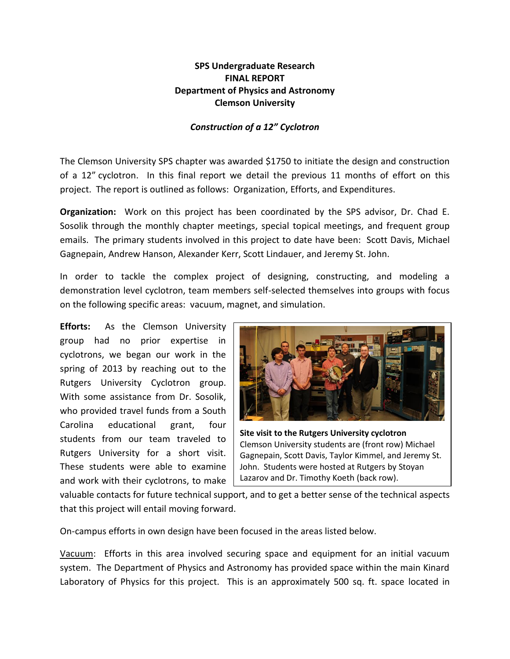## **SPS Undergraduate Research FINAL REPORT Department of Physics and Astronomy Clemson University**

## *Construction of a 12" Cyclotron*

The Clemson University SPS chapter was awarded \$1750 to initiate the design and construction of a 12" cyclotron. In this final report we detail the previous 11 months of effort on this project. The report is outlined as follows: Organization, Efforts, and Expenditures.

**Organization:** Work on this project has been coordinated by the SPS advisor, Dr. Chad E. Sosolik through the monthly chapter meetings, special topical meetings, and frequent group emails. The primary students involved in this project to date have been: Scott Davis, Michael Gagnepain, Andrew Hanson, Alexander Kerr, Scott Lindauer, and Jeremy St. John.

In order to tackle the complex project of designing, constructing, and modeling a demonstration level cyclotron, team members self-selected themselves into groups with focus on the following specific areas: vacuum, magnet, and simulation.

**Efforts:** As the Clemson University group had no prior expertise in cyclotrons, we began our work in the spring of 2013 by reaching out to the Rutgers University Cyclotron group. With some assistance from Dr. Sosolik, who provided travel funds from a South Carolina educational grant, four students from our team traveled to Rutgers University for a short visit. These students were able to examine and work with their cyclotrons, to make



**Site visit to the Rutgers University cyclotron** Clemson University students are (front row) Michael Gagnepain, Scott Davis, Taylor Kimmel, and Jeremy St. John. Students were hosted at Rutgers by Stoyan Lazarov and Dr. Timothy Koeth (back row).

valuable contacts for future technical support, and to get a better sense of the technical aspects that this project will entail moving forward.

On-campus efforts in own design have been focused in the areas listed below.

Vacuum: Efforts in this area involved securing space and equipment for an initial vacuum system. The Department of Physics and Astronomy has provided space within the main Kinard Laboratory of Physics for this project. This is an approximately 500 sq. ft. space located in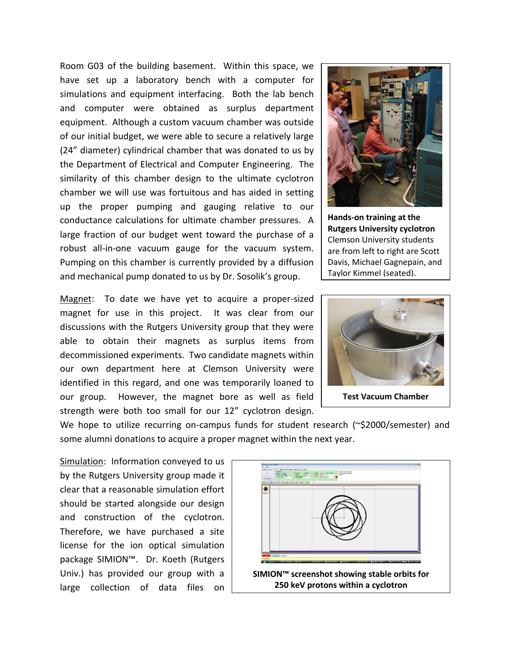Room G03 of the building basement. Within this space, we have set up a laboratory bench with a computer for simulations and equipment interfacing. Both the lab bench and computer were obtained as surplus department equipment. Although a custom vacuum chamber was outside of our initial budget, we were able to secure a relatively large (24" diameter) cylindrical chamber that was donated to us by the Department of Electrical and Computer Engineering. The similarity of this chamber design to the ultimate cyclotron chamber we will use was fortuitous and has aided in setting up the proper pumping and gauging relative to our conductance calculations for ultimate chamber pressures. A large fraction of our budget went toward the purchase of a robust all-in-one vacuum gauge for the vacuum system. Pumping on this chamber is currently provided by a diffusion and mechanical pump donated to us by Dr. Sosolik's group.

Magnet: To date we have yet to acquire a proper-sized magnet for use in this project. It was clear from our discussions with the Rutgers University group that they were able to obtain their magnets as surplus items from decommissioned experiments. Two candidate magnets within our own department here at Clemson University were identified in this regard, and one was temporarily loaned to our group. However, the magnet bore as well as field strength were both too small for our 12" cyclotron design.



**Hands-on training at the Rutgers University cyclotron** Clemson University students are from left to right are Scott Davis, Michael Gagnepain, and Taylor Kimmel (seated).



We hope to utilize recurring on-campus funds for student research (~\$2000/semester) and some alumni donations to acquire a proper magnet within the next year.

Simulation: Information conveyed to us by the Rutgers University group made it clear that a reasonable simulation effort should be started alongside our design and construction of the cyclotron. Therefore, we have purchased a site license for the ion optical simulation package SIMION™. Dr. Koeth (Rutgers Univ.) has provided our group with a large collection of data files on